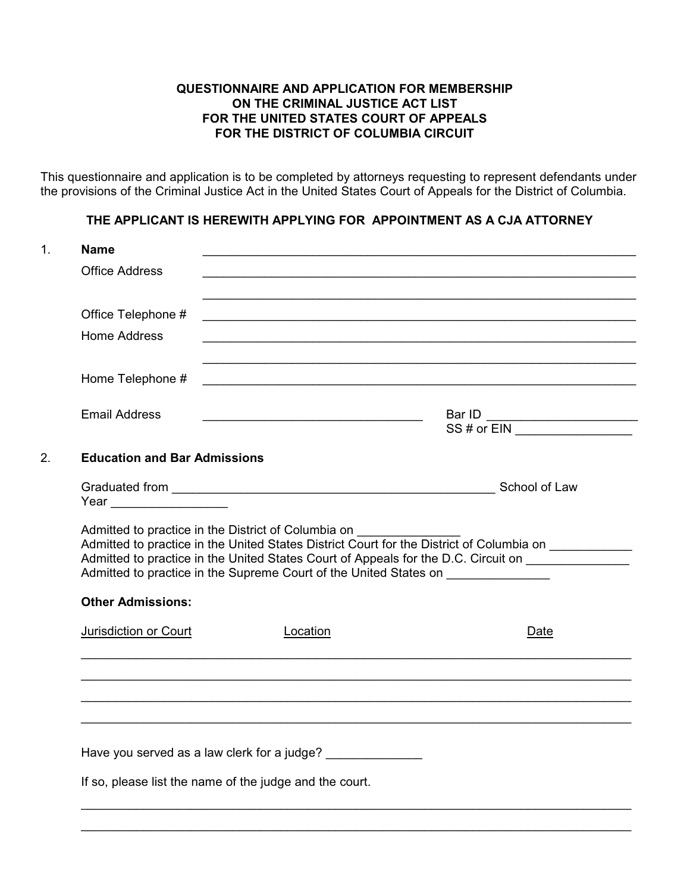### **QUESTIONNAIRE AND APPLICATION FOR MEMBERSHIP ON THE CRIMINAL JUSTICE ACT LIST FOR THE UNITED STATES COURT OF APPEALS FOR THE DISTRICT OF COLUMBIA CIRCUIT**

This questionnaire and application is to be completed by attorneys requesting to represent defendants under the provisions of the Criminal Justice Act in the United States Court of Appeals for the District of Columbia.

## **THE APPLICANT IS HEREWITH APPLYING FOR APPOINTMENT AS A CJA ATTORNEY**

| <b>Office Address</b>               |                                                                                                                                         |                                                                                                                                                                                                |
|-------------------------------------|-----------------------------------------------------------------------------------------------------------------------------------------|------------------------------------------------------------------------------------------------------------------------------------------------------------------------------------------------|
| Office Telephone #                  | the contract of the contract of the contract of the contract of the contract of the contract of the contract of                         |                                                                                                                                                                                                |
| <b>Home Address</b>                 | and the control of the control of the control of the control of the control of the control of the control of the                        |                                                                                                                                                                                                |
| Home Telephone #                    |                                                                                                                                         | and the control of the control of the control of the control of the control of the control of the control of the<br><u> 1989 - Johann Stoff, amerikansk politiker (d. 1989)</u>                |
| <b>Email Address</b>                |                                                                                                                                         | Bar ID $\overline{\text{SS # or EIN}}$                                                                                                                                                         |
| <b>Education and Bar Admissions</b> |                                                                                                                                         |                                                                                                                                                                                                |
| Year __________________             |                                                                                                                                         |                                                                                                                                                                                                |
|                                     |                                                                                                                                         |                                                                                                                                                                                                |
|                                     | Admitted to practice in the District of Columbia on<br>Admitted to practice in the Supreme Court of the United States on ______________ |                                                                                                                                                                                                |
| <b>Other Admissions:</b>            |                                                                                                                                         |                                                                                                                                                                                                |
| Jurisdiction or Court               | Location                                                                                                                                | Date                                                                                                                                                                                           |
|                                     |                                                                                                                                         | Admitted to practice in the United States District Court for the District of Columbia on<br>Admitted to practice in the United States Court of Appeals for the D.C. Circuit on _______________ |
|                                     |                                                                                                                                         |                                                                                                                                                                                                |
|                                     | Have you served as a law clerk for a judge? _______________                                                                             |                                                                                                                                                                                                |

 $\_$  ,  $\_$  ,  $\_$  ,  $\_$  ,  $\_$  ,  $\_$  ,  $\_$  ,  $\_$  ,  $\_$  ,  $\_$  ,  $\_$  ,  $\_$  ,  $\_$  ,  $\_$  ,  $\_$  ,  $\_$  ,  $\_$  ,  $\_$  ,  $\_$  ,  $\_$  ,  $\_$  ,  $\_$  ,  $\_$  ,  $\_$  ,  $\_$  ,  $\_$  ,  $\_$  ,  $\_$  ,  $\_$  ,  $\_$  ,  $\_$  ,  $\_$  ,  $\_$  ,  $\_$  ,  $\_$  ,  $\_$  ,  $\_$  ,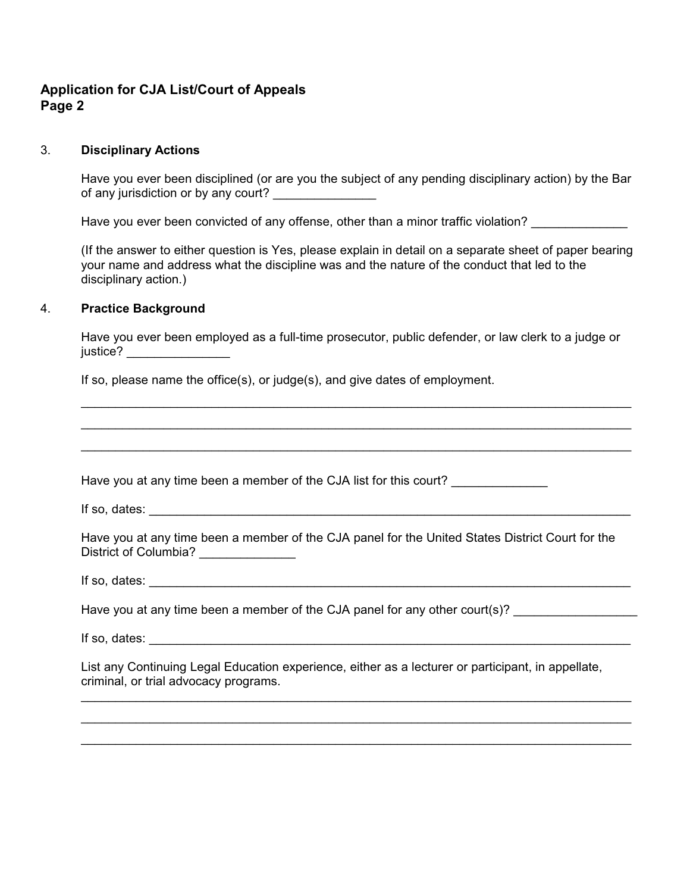# **Application for CJA List/Court of Appeals Page 2**

criminal, or trial advocacy programs.

#### 3. **Disciplinary Actions**

Have you ever been disciplined (or are you the subject of any pending disciplinary action) by the Bar of any jurisdiction or by any court?

Have you ever been convicted of any offense, other than a minor traffic violation?

(If the answer to either question is Yes, please explain in detail on a separate sheet of paper bearing your name and address what the discipline was and the nature of the conduct that led to the disciplinary action.)

#### 4. **Practice Background**

Have you ever been employed as a full-time prosecutor, public defender, or law clerk to a judge or justice? \_\_\_\_\_\_\_\_\_\_\_\_\_\_\_\_\_\_\_

 $\_$  ,  $\_$  ,  $\_$  ,  $\_$  ,  $\_$  ,  $\_$  ,  $\_$  ,  $\_$  ,  $\_$  ,  $\_$  ,  $\_$  ,  $\_$  ,  $\_$  ,  $\_$  ,  $\_$  ,  $\_$  ,  $\_$  ,  $\_$  ,  $\_$  ,  $\_$  ,  $\_$  ,  $\_$  ,  $\_$  ,  $\_$  ,  $\_$  ,  $\_$  ,  $\_$  ,  $\_$  ,  $\_$  ,  $\_$  ,  $\_$  ,  $\_$  ,  $\_$  ,  $\_$  ,  $\_$  ,  $\_$  ,  $\_$  ,

If so, please name the office(s), or judge(s), and give dates of employment.

 $\_$  ,  $\_$  ,  $\_$  ,  $\_$  ,  $\_$  ,  $\_$  ,  $\_$  ,  $\_$  ,  $\_$  ,  $\_$  ,  $\_$  ,  $\_$  ,  $\_$  ,  $\_$  ,  $\_$  ,  $\_$  ,  $\_$  ,  $\_$  ,  $\_$  ,  $\_$  ,  $\_$  ,  $\_$  ,  $\_$  ,  $\_$  ,  $\_$  ,  $\_$  ,  $\_$  ,  $\_$  ,  $\_$  ,  $\_$  ,  $\_$  ,  $\_$  ,  $\_$  ,  $\_$  ,  $\_$  ,  $\_$  ,  $\_$  ,  $\_$  ,  $\_$  ,  $\_$  ,  $\_$  ,  $\_$  ,  $\_$  ,  $\_$  ,  $\_$  ,  $\_$  ,  $\_$  ,  $\_$  ,  $\_$  ,  $\_$  ,  $\_$  ,  $\_$  ,  $\_$  ,  $\_$  ,  $\_$  ,  $\_$  ,  $\_$  ,  $\_$  ,  $\_$  ,  $\_$  ,  $\_$  ,  $\_$  ,  $\_$  ,  $\_$  ,  $\_$  ,  $\_$  ,  $\_$  ,  $\_$  ,  $\_$  ,  $\_$  ,  $\_$  ,  $\_$  ,  $\_$  ,  $\_$  , Have you at any time been a member of the CJA list for this court? If so, dates: \_\_\_\_\_\_\_\_\_\_\_\_\_\_\_\_\_\_\_\_\_\_\_\_\_\_\_\_\_\_\_\_\_\_\_\_\_\_\_\_\_\_\_\_\_\_\_\_\_\_\_\_\_\_\_\_\_\_\_\_\_\_\_\_\_\_\_\_\_\_ Have you at any time been a member of the CJA panel for the United States District Court for the District of Columbia? If so, dates: \_\_\_\_\_\_\_\_\_\_\_\_\_\_\_\_\_\_\_\_\_\_\_\_\_\_\_\_\_\_\_\_\_\_\_\_\_\_\_\_\_\_\_\_\_\_\_\_\_\_\_\_\_\_\_\_\_\_\_\_\_\_\_\_\_\_\_\_\_\_ Have you at any time been a member of the CJA panel for any other court(s)? If so, dates:  $\blacksquare$ List any Continuing Legal Education experience, either as a lecturer or participant, in appellate,

 $\_$  ,  $\_$  ,  $\_$  ,  $\_$  ,  $\_$  ,  $\_$  ,  $\_$  ,  $\_$  ,  $\_$  ,  $\_$  ,  $\_$  ,  $\_$  ,  $\_$  ,  $\_$  ,  $\_$  ,  $\_$  ,  $\_$  ,  $\_$  ,  $\_$  ,  $\_$  ,  $\_$  ,  $\_$  ,  $\_$  ,  $\_$  ,  $\_$  ,  $\_$  ,  $\_$  ,  $\_$  ,  $\_$  ,  $\_$  ,  $\_$  ,  $\_$  ,  $\_$  ,  $\_$  ,  $\_$  ,  $\_$  ,  $\_$  ,  $\_$  ,  $\_$  ,  $\_$  ,  $\_$  ,  $\_$  ,  $\_$  ,  $\_$  ,  $\_$  ,  $\_$  ,  $\_$  ,  $\_$  ,  $\_$  ,  $\_$  ,  $\_$  ,  $\_$  ,  $\_$  ,  $\_$  ,  $\_$  ,  $\_$  ,  $\_$  ,  $\_$  ,  $\_$  ,  $\_$  ,  $\_$  ,  $\_$  ,  $\_$  ,  $\_$  ,  $\_$  ,  $\_$  ,  $\_$  ,  $\_$  ,  $\_$  ,  $\_$  ,  $\_$  ,  $\_$  ,  $\_$  ,  $\_$  ,  $\_$  ,  $\_$  ,  $\_$  ,  $\_$  ,  $\_$  ,  $\_$  ,  $\_$  ,  $\_$  ,  $\_$  ,  $\_$  ,  $\_$  ,  $\_$  ,  $\_$  ,  $\_$  ,  $\_$  ,  $\_$  ,  $\_$  ,  $\_$  ,  $\_$  ,  $\_$  ,  $\_$  ,  $\_$  ,  $\_$  ,  $\_$  ,  $\_$  ,  $\_$  ,  $\_$  ,  $\_$  ,  $\_$  ,  $\_$  ,  $\_$  ,  $\_$  ,  $\_$  ,  $\_$  ,  $\_$  ,  $\_$  ,  $\_$  ,